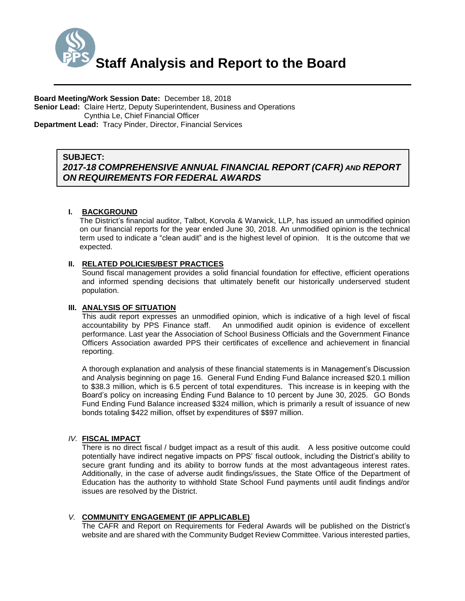

**Board Meeting/Work Session Date:** December 18, 2018 **Senior Lead:** Claire Hertz, Deputy Superintendent, Business and Operations Cynthia Le, Chief Financial Officer **Department Lead:** Tracy Pinder, Director, Financial Services

### *(Use this section to briefly explain the item—2-3 sentences)* **SUBJECT:** *2017-18 COMPREHENSIVE ANNUAL FINANCIAL REPORT (CAFR) AND REPORT ON REQUIREMENTS FOR FEDERAL AWARDS*

# **I. BACKGROUND**

The District's financial auditor, Talbot, Korvola & Warwick, LLP, has issued an unmodified opinion on our financial reports for the year ended June 30, 2018. An unmodified opinion is the technical term used to indicate a "clean audit" and is the highest level of opinion. It is the outcome that we expected.

# **II. RELATED POLICIES/BEST PRACTICES**

Sound fiscal management provides a solid financial foundation for effective, efficient operations and informed spending decisions that ultimately benefit our historically underserved student population.

# **III. ANALYSIS OF SITUATION**

This audit report expresses an unmodified opinion, which is indicative of a high level of fiscal accountability by PPS Finance staff. An unmodified audit opinion is evidence of excellent performance. Last year the Association of School Business Officials and the Government Finance Officers Association awarded PPS their certificates of excellence and achievement in financial reporting.

A thorough explanation and analysis of these financial statements is in Management's Discussion and Analysis beginning on page 16. General Fund Ending Fund Balance increased \$20.1 million to \$38.3 million, which is 6.5 percent of total expenditures. This increase is in keeping with the Board's policy on increasing Ending Fund Balance to 10 percent by June 30, 2025. GO Bonds Fund Ending Fund Balance increased \$324 million, which is primarily a result of issuance of new bonds totaling \$422 million, offset by expenditures of \$\$97 million.

# *IV.* **FISCAL IMPACT**

 There is no direct fiscal / budget impact as a result of this audit. A less positive outcome could potentially have indirect negative impacts on PPS' fiscal outlook, including the District's ability to secure grant funding and its ability to borrow funds at the most advantageous interest rates. Additionally, in the case of adverse audit findings/issues, the State Office of the Department of Education has the authority to withhold State School Fund payments until audit findings and/or issues are resolved by the District.

# *V.* **COMMUNITY ENGAGEMENT (IF APPLICABLE)**

The CAFR and Report on Requirements for Federal Awards will be published on the District's website and are shared with the Community Budget Review Committee. Various interested parties,